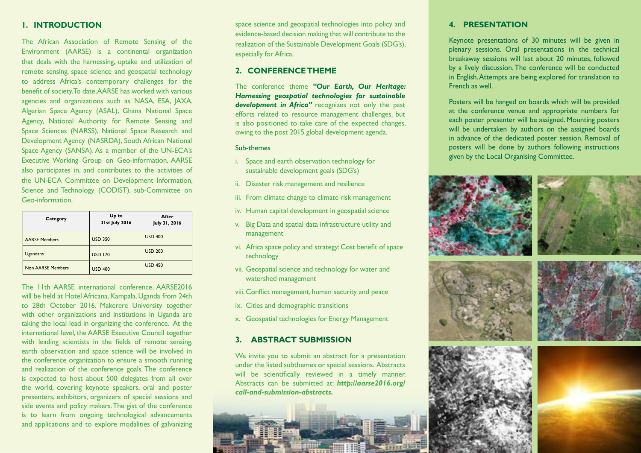# **1. Introduction**

The African Association of Remote Sensing of the Environment (AARSE) is a continental organization that deals with the harnessing, uptake and utilization of remote sensing, space science and geospatial technology to address Africa's contemporary challenges for the benefit of society. To date, AARSE has worked with various agencies and organizations such as NASA, ESA, JAXA, Algerian Space Agency (ASAL), Ghana National Space Agency, National Authority for Remote Sensing and Space Sciences (NARSS), National Space Research and Development Agency (NASRDA), South African National Space Agency (SANSA). As a member of the UN-ECA's Executive Working Group on Geo-information, AARSE also participates in, and contributes to the activities of the UN-ECA Committee on Development Information, Science and Technology (CODIST), sub-Committee on Geo-information.

| Category                 | Up to<br>31st July 2016 | After<br>July 31, 2016 |
|--------------------------|-------------------------|------------------------|
| <b>AARSE Members</b>     | <b>USD 350</b>          | <b>USD 400</b>         |
| <b>Ugandans</b>          | <b>USD 170</b>          | <b>USD 200</b>         |
| <b>Non AARSE Members</b> | <b>USD 400</b>          | <b>USD 450</b>         |

The 11th AARSE international conference, AARSE2016 will be held at Hotel Africana, Kampala, Uganda from 24th to 28th October 2016. Makerere University together with other organizations and institutions in Uganda are taking the local lead in organizing the conference. At the international level, the AARSE Executive Council together with leading scientists in the fields of remote sensing, earth observation and space science will be involved in the conference organization to ensure a smooth running and realization of the conference goals. The conference is expected to host about 500 delegates from all over the world, covering keynote speakers, oral and poster presenters, exhibitors, organizers of special sessions and side events and policy makers. The gist of the conference is to learn from ongoing technological advancements and applications and to explore modalities of galvanizing

space science and geospatial technologies into policy and evidence-based decision making that will contribute to the realization of the Sustainable Development Goals (SDG's), especially for Africa.

# **2. CONFERENCE THEME**

The conference theme *"Our Earth, Our Heritage: Harnessing geospatial technologies for sustainable development in Africa"* recognizes not only the past efforts related to resource management challenges, but is also positioned to take care of the expected changes, owing to the post 2015 global development agenda.

#### Sub-themes

- i. Space and earth observation technology for sustainable development goals (SDG's)
- ii. Disaster risk management and resilience
- iii. From climate change to climate risk management
- iv. Human capital development in geospatial science
- v. Big Data and spatial data infrastructure utility and management
- vi. Africa space policy and strategy: Cost benefit of space technology
- vii. Geospatial science and technology for water and watershed management
- viii. Conflict management, human security and peace
- ix. Cities and demographic transitions
- x. Geospatial technologies for Energy Management

# **3. ABSTRACT SUBMISSION**

We invite you to submit an abstract for a presentation under the listed subthemes or special sessions. Abstracts will be scientifically reviewed in a timely manner. Abstracts can be submitted at: *http://aarse2016.org/ call-and-submission-abstracts.* 



# **4. PRESENTATION**

Keynote presentations of 30 minutes will be given in plenary sessions. Oral presentations in the technical breakaway sessions will last about 20 minutes, followed by a lively discussion. The conference will be conducted in English. Attempts are being explored for translation to French as well.

Posters will be hanged on boards which will be provided at the conference venue and appropriate numbers for each poster presenter will be assigned. Mounting posters will be undertaken by authors on the assigned boards in advance of the dedicated poster session. Removal of posters will be done by authors following instructions given by the Local Organising Committee.